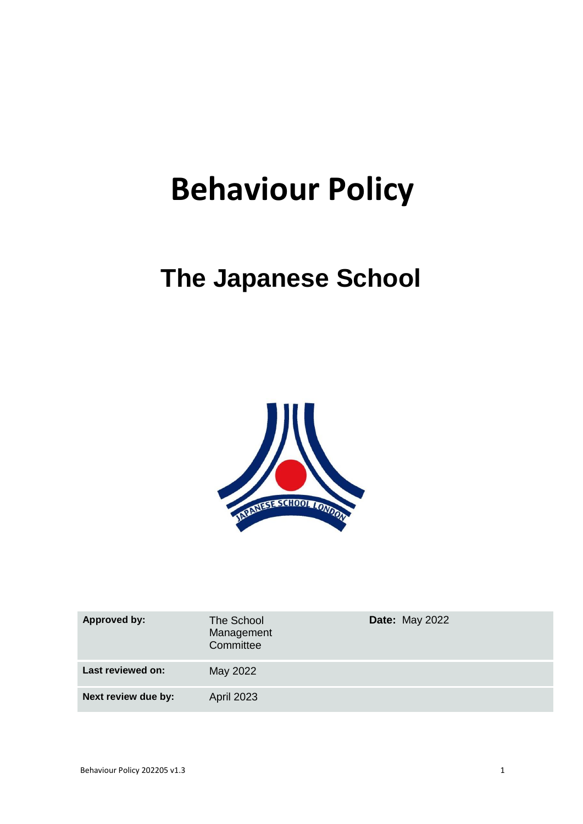# **Behaviour Policy**

## **The Japanese School**



| <b>Approved by:</b> | The School<br>Management<br>Committee | <b>Date: May 2022</b> |
|---------------------|---------------------------------------|-----------------------|
| Last reviewed on:   | May 2022                              |                       |
| Next review due by: | <b>April 2023</b>                     |                       |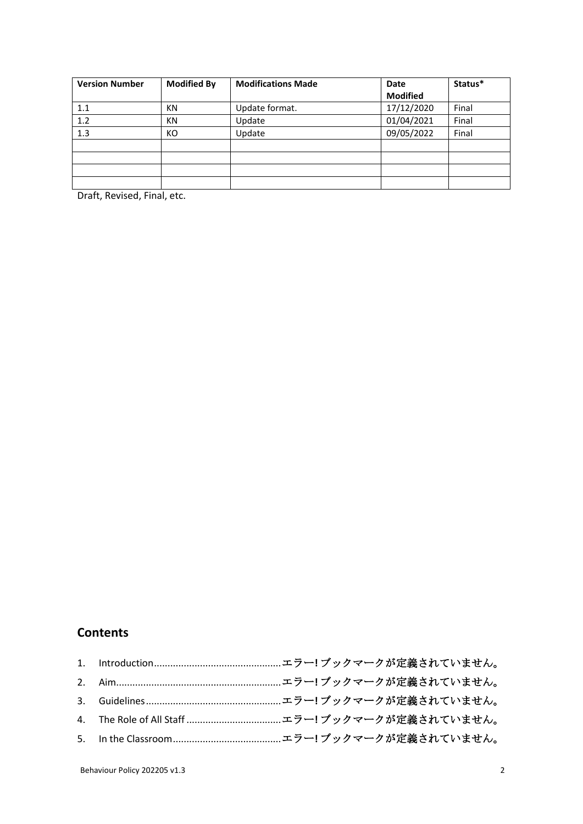| <b>Version Number</b> | <b>Modified By</b> | <b>Modifications Made</b> | Date            | Status* |
|-----------------------|--------------------|---------------------------|-----------------|---------|
|                       |                    |                           | <b>Modified</b> |         |
| 1.1                   | ΚN                 | Update format.            | 17/12/2020      | Final   |
| 1.2                   | ΚN                 | Update                    | 01/04/2021      | Final   |
| 1.3                   | КO                 | Update                    | 09/05/2022      | Final   |
|                       |                    |                           |                 |         |
|                       |                    |                           |                 |         |
|                       |                    |                           |                 |         |
|                       |                    |                           |                 |         |

Draft, Revised, Final, etc.

### **Contents**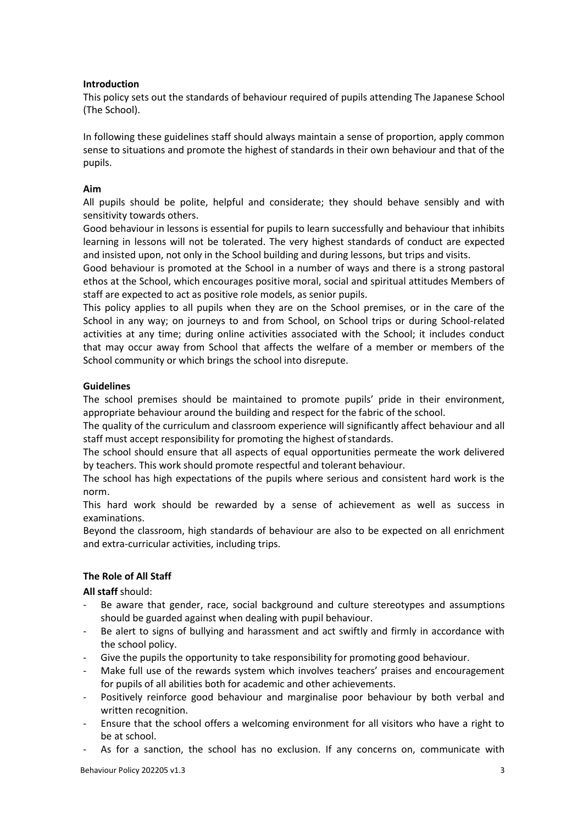#### **Introduction**

This policy sets out the standards of behaviour required of pupils attending The Japanese School (The School).

In following these guidelines staff should always maintain a sense of proportion, apply common sense to situations and promote the highest of standards in their own behaviour and that of the pupils.

#### **Aim**

All pupils should be polite, helpful and considerate; they should behave sensibly and with sensitivity towards others.

Good behaviour in lessons is essential for pupils to learn successfully and behaviour that inhibits learning in lessons will not be tolerated. The very highest standards of conduct are expected and insisted upon, not only in the School building and during lessons, but trips and visits.

Good behaviour is promoted at the School in a number of ways and there is a strong pastoral ethos at the School, which encourages positive moral, social and spiritual attitudes Members of staff are expected to act as positive role models, as senior pupils.

This policy applies to all pupils when they are on the School premises, or in the care of the School in any way; on journeys to and from School, on School trips or during School-related activities at any time; during online activities associated with the School; it includes conduct that may occur away from School that affects the welfare of a member or members of the School community or which brings the school into disrepute.

#### **Guidelines**

The school premises should be maintained to promote pupils' pride in their environment, appropriate behaviour around the building and respect for the fabric of the school.

The quality of the curriculum and classroom experience will significantly affect behaviour and all staff must accept responsibility for promoting the highest of standards.

The school should ensure that all aspects of equal opportunities permeate the work delivered by teachers. This work should promote respectful and tolerant behaviour.

The school has high expectations of the pupils where serious and consistent hard work is the norm.

This hard work should be rewarded by a sense of achievement as well as success in examinations.

Beyond the classroom, high standards of behaviour are also to be expected on all enrichment and extra-curricular activities, including trips.

#### **The Role of All Staff**

**All staff** should:

- Be aware that gender, race, social background and culture stereotypes and assumptions should be guarded against when dealing with pupil behaviour.
- Be alert to signs of bullying and harassment and act swiftly and firmly in accordance with the school policy.
- Give the pupils the opportunity to take responsibility for promoting good behaviour.
- Make full use of the rewards system which involves teachers' praises and encouragement for pupils of all abilities both for academic and other achievements.
- Positively reinforce good behaviour and marginalise poor behaviour by both verbal and written recognition.
- Ensure that the school offers a welcoming environment for all visitors who have a right to be at school.
- As for a sanction, the school has no exclusion. If any concerns on, communicate with